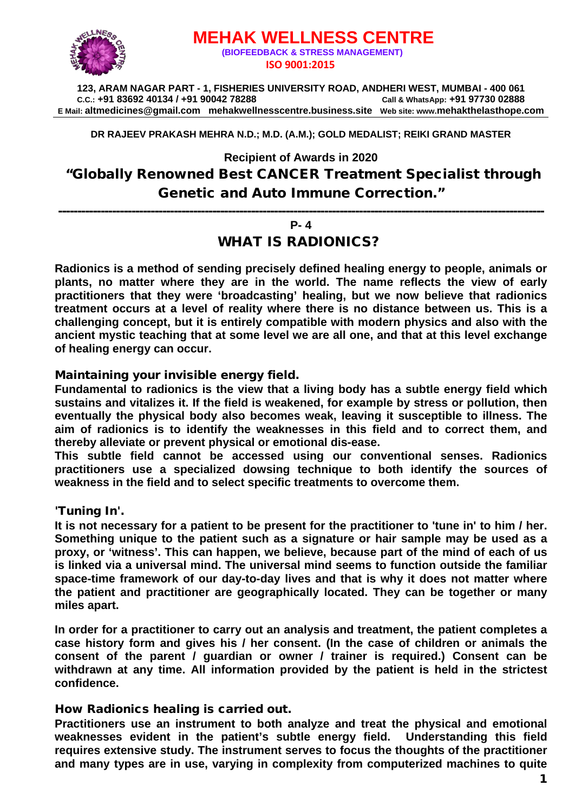

# **MEHAK WELLNESS CENTRE (BIOFEEDBACK & STRESS MANAGEMENT) ISO 9001:2015**

**123, ARAM NAGAR PART - 1, FISHERIES UNIVERSITY ROAD, ANDHERI WEST, MUMBAI - 400 061 C.C.: +91 83692 40134 / +91 90042 78288 Call & WhatsApp: +91 97730 02888 E Mail: [altmedicines@gmail.com](mailto:altmedicines@gmail.com) mehakwellnesscentre.business.site Web site: www.mehakthelasthope.com**

#### **DR RAJEEV PRAKASH MEHRA N.D.; M.D. (A.M.); GOLD MEDALIST; REIKI GRAND MASTER**

#### **Recipient of Awards in 2020**

"Globally Renowned Best CANCER Treatment Specialist through Genetic and Auto Immune Correction."

------------------------------------------------------------------------------------------------------------------------------

#### **P- 4**

# WHAT IS RADIONICS?

**Radionics is a method of sending precisely defined healing energy to people, animals or plants, no matter where they are in the world. The name reflects the view of early practitioners that they were 'broadcasting' healing, but we now believe that radionics treatment occurs at a level of reality where there is no distance between us. This is a challenging concept, but it is entirely compatible with modern physics and also with the ancient mystic teaching that at some level we are all one, and that at this level exchange of healing energy can occur.**

Maintaining your invisible energy field.

**Fundamental to radionics is the view that a living body has a subtle energy field which sustains and vitalizes it. If the field is weakened, for example by stress or pollution, then eventually the physical body also becomes weak, leaving it susceptible to illness. The aim of radionics is to identify the weaknesses in this field and to correct them, and thereby alleviate or prevent physical or emotional dis-ease.** 

**This subtle field cannot be accessed using our conventional senses. Radionics practitioners use a specialized dowsing technique to both identify the sources of weakness in the field and to select specific treatments to overcome them.**

'Tuning In'.

**It is not necessary for a patient to be present for the practitioner to 'tune in' to him / her. Something unique to the patient such as a signature or hair sample may be used as a proxy, or 'witness'. This can happen, we believe, because part of the mind of each of us is linked via a universal mind. The universal mind seems to function outside the familiar space-time framework of our day-to-day lives and that is why it does not matter where the patient and practitioner are geographically located. They can be together or many miles apart.**

**In order for a practitioner to carry out an analysis and treatment, the patient completes a case history form and gives his / her consent. (In the case of children or animals the consent of the parent / guardian or owner / trainer is required.) Consent can be withdrawn at any time. All information provided by the patient is held in the strictest confidence.** 

How Radionics healing is carried out.

**Practitioners use an instrument to both analyze and treat the physical and emotional weaknesses evident in the patient's subtle energy field. Understanding this field requires extensive study. The instrument serves to focus the thoughts of the practitioner and many types are in use, varying in complexity from computerized machines to quite**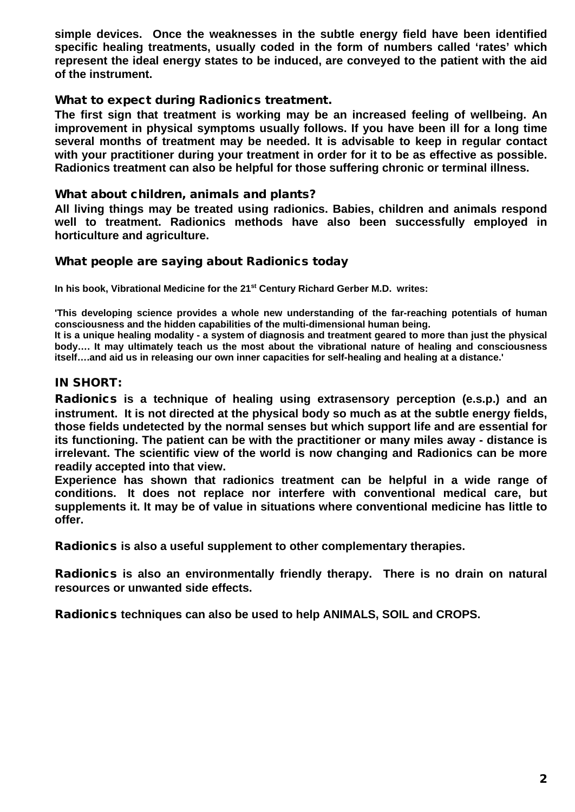**simple devices. Once the weaknesses in the subtle energy field have been identified specific healing treatments, usually coded in the form of numbers called 'rates' which represent the ideal energy states to be induced, are conveyed to the patient with the aid of the instrument.** 

## What to expect during Radionics treatment.

**The first sign that treatment is working may be an increased feeling of wellbeing. An improvement in physical symptoms usually follows. If you have been ill for a long time several months of treatment may be needed. It is advisable to keep in regular contact with your practitioner during your treatment in order for it to be as effective as possible. Radionics treatment can also be helpful for those suffering chronic or terminal illness.**

## What about children, animals and plants?

**All living things may be treated using radionics. Babies, children and animals respond well to treatment. Radionics methods have also been successfully employed in horticulture and agriculture.**

## What people are saying about Radionics today

**In his book, Vibrational Medicine for the 21st Century Richard Gerber M.D. writes:**

**'This developing science provides a whole new understanding of the far-reaching potentials of human consciousness and the hidden capabilities of the multi-dimensional human being.** 

**It is a unique healing modality - a system of diagnosis and treatment geared to more than just the physical body…. It may ultimately teach us the most about the vibrational nature of healing and consciousness itself….and aid us in releasing our own inner capacities for self-healing and healing at a distance.'** 

## IN SHORT:

Radionics **is a technique of healing using extrasensory perception (e.s.p.) and an instrument. It is not directed at the physical body so much as at the subtle energy fields, those fields undetected by the normal senses but which support life and are essential for its functioning. The patient can be with the practitioner or many miles away - distance is irrelevant. The scientific view of the world is now changing and Radionics can be more readily accepted into that view.**

**Experience has shown that radionics treatment can be helpful in a wide range of conditions. It does not replace nor interfere with conventional medical care, but supplements it. It may be of value in situations where conventional medicine has little to offer.**

Radionics **is also a useful supplement to other complementary therapies.**

Radionics **is also an environmentally friendly therapy. There is no drain on natural resources or unwanted side effects.**

Radionics **techniques can also be used to help ANIMALS, SOIL and CROPS.**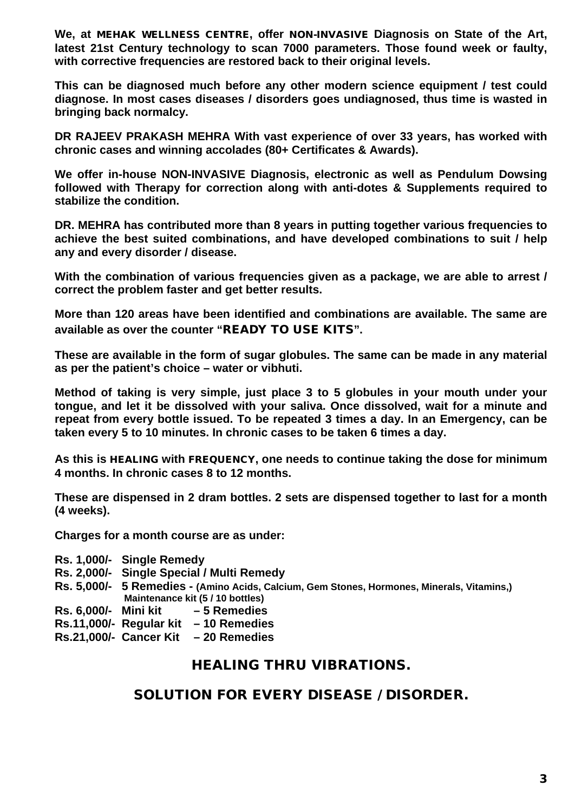**We, at** MEHAK WELLNESS CENTRE**, offer** NON-INVASIVE **Diagnosis on State of the Art, latest 21st Century technology to scan 7000 parameters. Those found week or faulty, with corrective frequencies are restored back to their original levels.**

**This can be diagnosed much before any other modern science equipment / test could diagnose. In most cases diseases / disorders goes undiagnosed, thus time is wasted in bringing back normalcy.** 

**DR RAJEEV PRAKASH MEHRA With vast experience of over 33 years, has worked with chronic cases and winning accolades (80+ Certificates & Awards).** 

**We offer in-house NON-INVASIVE Diagnosis, electronic as well as Pendulum Dowsing followed with Therapy for correction along with anti-dotes & Supplements required to stabilize the condition.**

**DR. MEHRA has contributed more than 8 years in putting together various frequencies to achieve the best suited combinations, and have developed combinations to suit / help any and every disorder / disease.**

**With the combination of various frequencies given as a package, we are able to arrest / correct the problem faster and get better results.**

**More than 120 areas have been identified and combinations are available. The same are available as over the counter "**READY TO USE KITS**".**

**These are available in the form of sugar globules. The same can be made in any material as per the patient's choice – water or vibhuti.**

**Method of taking is very simple, just place 3 to 5 globules in your mouth under your tongue, and let it be dissolved with your saliva. Once dissolved, wait for a minute and repeat from every bottle issued. To be repeated 3 times a day. In an Emergency, can be taken every 5 to 10 minutes. In chronic cases to be taken 6 times a day.**

**As this is** HEALING **with** FREQUENCY**, one needs to continue taking the dose for minimum 4 months. In chronic cases 8 to 12 months.** 

**These are dispensed in 2 dram bottles. 2 sets are dispensed together to last for a month (4 weeks).**

**Charges for a month course are as under:**

- **Rs. 1,000/- Single Remedy**
- **Rs. 2,000/- Single Special / Multi Remedy**
- **Rs. 5,000/- 5 Remedies - (Amino Acids, Calcium, Gem Stones, Hormones, Minerals, Vitamins,) Maintenance kit (5 / 10 bottles)**
- **Rs. 6,000/- Mini kit – 5 Remedies**
- **Rs.11,000/- Regular kit – 10 Remedies**
- **Rs.21,000/- Cancer Kit – 20 Remedies**

## HEALING THRU VIBRATIONS.

## SOLUTION FOR EVERY DISEASE / DISORDER.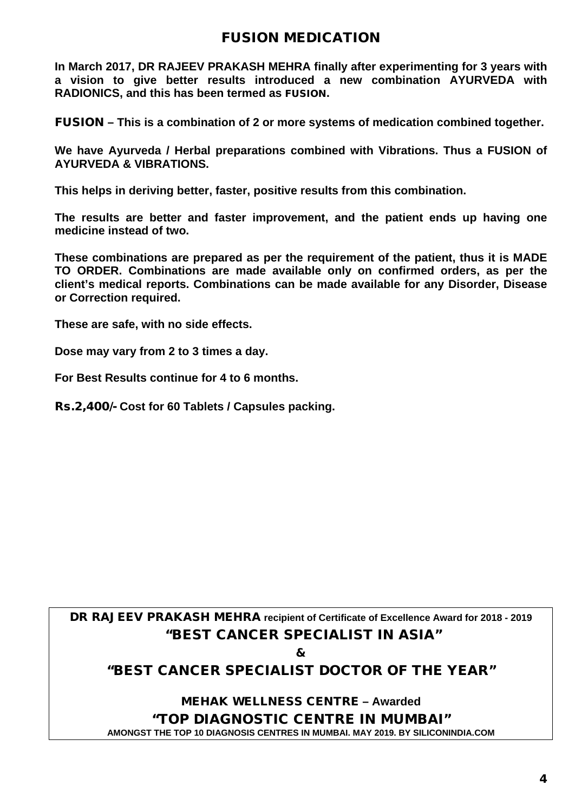# FUSION MEDICATION

**In March 2017, DR RAJEEV PRAKASH MEHRA finally after experimenting for 3 years with a vision to give better results introduced a new combination AYURVEDA with RADIONICS, and this has been termed as** FUSION.

FUSION **– This is a combination of 2 or more systems of medication combined together.**

**We have Ayurveda / Herbal preparations combined with Vibrations. Thus a FUSION of AYURVEDA & VIBRATIONS.**

**This helps in deriving better, faster, positive results from this combination.** 

**The results are better and faster improvement, and the patient ends up having one medicine instead of two.**

**These combinations are prepared as per the requirement of the patient, thus it is MADE TO ORDER. Combinations are made available only on confirmed orders, as per the client's medical reports. Combinations can be made available for any Disorder, Disease or Correction required.**

**These are safe, with no side effects.**

**Dose may vary from 2 to 3 times a day.**

**For Best Results continue for 4 to 6 months.**

Rs.2,400/- **Cost for 60 Tablets / Capsules packing.**

DR RAJEEV PRAKASH MEHRA **recipient of Certificate of Excellence Award for 2018 - 2019** "BEST CANCER SPECIALIST IN ASIA"

&

# "BEST CANCER SPECIALIST DOCTOR OF THE YEAR"

MEHAK WELLNESS CENTRE **– Awarded**

"TOP DIAGNOSTIC CENTRE IN MUMBAI"

**AMONGST THE TOP 10 DIAGNOSIS CENTRES IN MUMBAI. MAY 2019. BY SILICONINDIA.COM**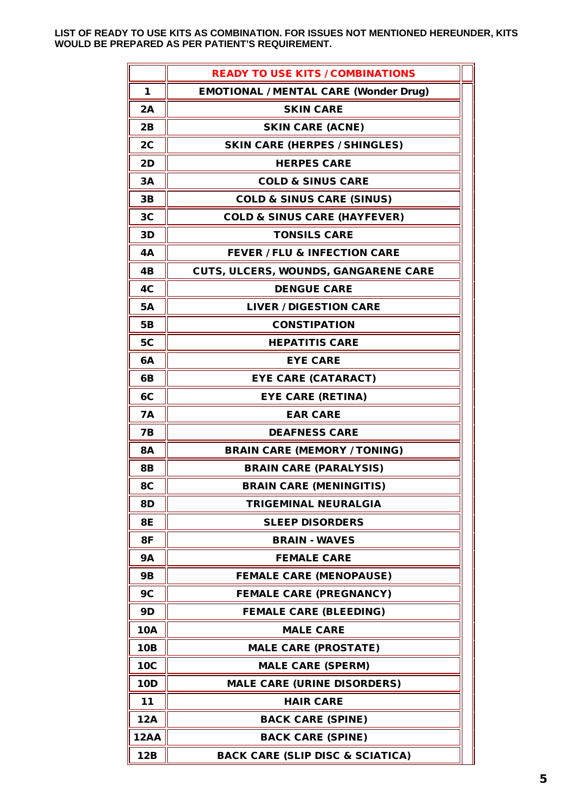**LIST OF READY TO USE KITS AS COMBINATION. FOR ISSUES NOT MENTIONED HEREUNDER, KITS WOULD BE PREPARED AS PER PATIENT'S REQUIREMENT.**

|             | <b>READY TO USE KITS / COMBINATIONS</b>      |
|-------------|----------------------------------------------|
| 1           | <b>EMOTIONAL / MENTAL CARE (Wonder Drug)</b> |
| 2A          | <b>SKIN CARE</b>                             |
| 2B          | <b>SKIN CARE (ACNE)</b>                      |
| 2C          | <b>SKIN CARE (HERPES / SHINGLES)</b>         |
| 2D          | <b>HERPES CARE</b>                           |
| 3A          | <b>COLD &amp; SINUS CARE</b>                 |
| 3B          | <b>COLD &amp; SINUS CARE (SINUS)</b>         |
| 3C          | <b>COLD &amp; SINUS CARE (HAYFEVER)</b>      |
| 3D          | <b>TONSILS CARE</b>                          |
| 4A          | <b>FEVER / FLU &amp; INFECTION CARE</b>      |
| 4B          | <b>CUTS, ULCERS, WOUNDS, GANGARENE CARE</b>  |
| 4C          | <b>DENGUE CARE</b>                           |
| <b>5A</b>   | <b>LIVER / DIGESTION CARE</b>                |
| <b>5B</b>   | <b>CONSTIPATION</b>                          |
| <b>5C</b>   | <b>HEPATITIS CARE</b>                        |
| <b>6A</b>   | <b>EYE CARE</b>                              |
| 6 <b>B</b>  | <b>EYE CARE (CATARACT)</b>                   |
| 6C          | <b>EYE CARE (RETINA)</b>                     |
| 7A          | <b>EAR CARE</b>                              |
| 7В          | <b>DEAFNESS CARE</b>                         |
| <b>8A</b>   | <b>BRAIN CARE (MEMORY / TONING)</b>          |
| <b>8B</b>   | <b>BRAIN CARE (PARALYSIS)</b>                |
| 8C          | <b>BRAIN CARE (MENINGITIS)</b>               |
| 8D          | <b>TRIGEMINAL NEURALGIA</b>                  |
| 8Ε          | <b>SLEEP DISORDERS</b>                       |
| 8F          | <b>BRAIN - WAVES</b>                         |
| 9Α          | <b>FEMALE CARE</b>                           |
| <b>9B</b>   | <b>FEMALE CARE (MENOPAUSE)</b>               |
| 9C          | <b>FEMALE CARE (PREGNANCY)</b>               |
| 9D          | <b>FEMALE CARE (BLEEDING)</b>                |
| <b>10A</b>  | <b>MALE CARE</b>                             |
| <b>10B</b>  | <b>MALE CARE (PROSTATE)</b>                  |
| <b>10C</b>  | <b>MALE CARE (SPERM)</b>                     |
| <b>10D</b>  | <b>MALE CARE (URINE DISORDERS)</b>           |
| 11          | <b>HAIR CARE</b>                             |
| 12A         | <b>BACK CARE (SPINE)</b>                     |
| <b>12AA</b> | <b>BACK CARE (SPINE)</b>                     |
| 12B         | <b>BACK CARE (SLIP DISC &amp; SCIATICA)</b>  |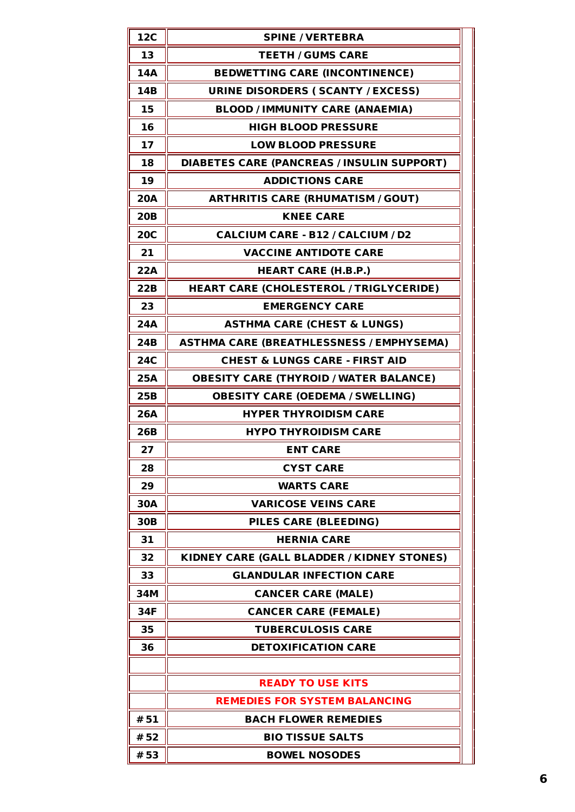| 12C             | <b>SPINE / VERTEBRA</b>                         |
|-----------------|-------------------------------------------------|
| 13              | <b>TEETH / GUMS CARE</b>                        |
| <b>14A</b>      | <b>BEDWETTING CARE (INCONTINENCE)</b>           |
| <b>14B</b>      | <b>URINE DISORDERS (SCANTY / EXCESS)</b>        |
| 15              | <b>BLOOD / IMMUNITY CARE (ANAEMIA)</b>          |
| 16              | <b>HIGH BLOOD PRESSURE</b>                      |
| 17              | <b>LOW BLOOD PRESSURE</b>                       |
| 18              | DIABETES CARE (PANCREAS / INSULIN SUPPORT)      |
| 19              | <b>ADDICTIONS CARE</b>                          |
| 20A             | <b>ARTHRITIS CARE (RHUMATISM / GOUT)</b>        |
| 20B             | <b>KNEE CARE</b>                                |
| <b>20C</b>      | <b>CALCIUM CARE - B12 / CALCIUM / D2</b>        |
| 21              | <b>VACCINE ANTIDOTE CARE</b>                    |
| 22A             | <b>HEART CARE (H.B.P.)</b>                      |
| 22B             | HEART CARE (CHOLESTEROL / TRIGLYCERIDE)         |
| 23              | <b>EMERGENCY CARE</b>                           |
| 24A             | <b>ASTHMA CARE (CHEST &amp; LUNGS)</b>          |
| 24B             | <b>ASTHMA CARE (BREATHLESSNESS / EMPHYSEMA)</b> |
| <b>24C</b>      | <b>CHEST &amp; LUNGS CARE - FIRST AID</b>       |
| <b>25A</b>      | <b>OBESITY CARE (THYROID / WATER BALANCE)</b>   |
| 25B             | <b>OBESITY CARE (OEDEMA / SWELLING)</b>         |
| <b>26A</b>      | <b>HYPER THYROIDISM CARE</b>                    |
| 26B             | <b>HYPO THYROIDISM CARE</b>                     |
| 27              | <b>ENT CARE</b>                                 |
| 28              | <b>CYST CARE</b>                                |
| 29              | <b>WARTS CARE</b>                               |
| 30A             | <b>VARICOSE VEINS CARE</b>                      |
| 30 <sub>B</sub> | PILES CARE (BLEEDING)                           |
| 31              | <b>HERNIA CARE</b>                              |
| 32              | KIDNEY CARE (GALL BLADDER / KIDNEY STONES)      |
| 33              | <b>GLANDULAR INFECTION CARE</b>                 |
| 34M             | <b>CANCER CARE (MALE)</b>                       |
| 34F             | <b>CANCER CARE (FEMALE)</b>                     |
| 35              | <b>TUBERCULOSIS CARE</b>                        |
| 36              | <b>DETOXIFICATION CARE</b>                      |
|                 |                                                 |
|                 | <b>READY TO USE KITS</b>                        |
|                 | <b>REMEDIES FOR SYSTEM BALANCING</b>            |
| # 51            | <b>BACH FLOWER REMEDIES</b>                     |
| # 52            | <b>BIO TISSUE SALTS</b>                         |
| # 53            | <b>BOWEL NOSODES</b>                            |